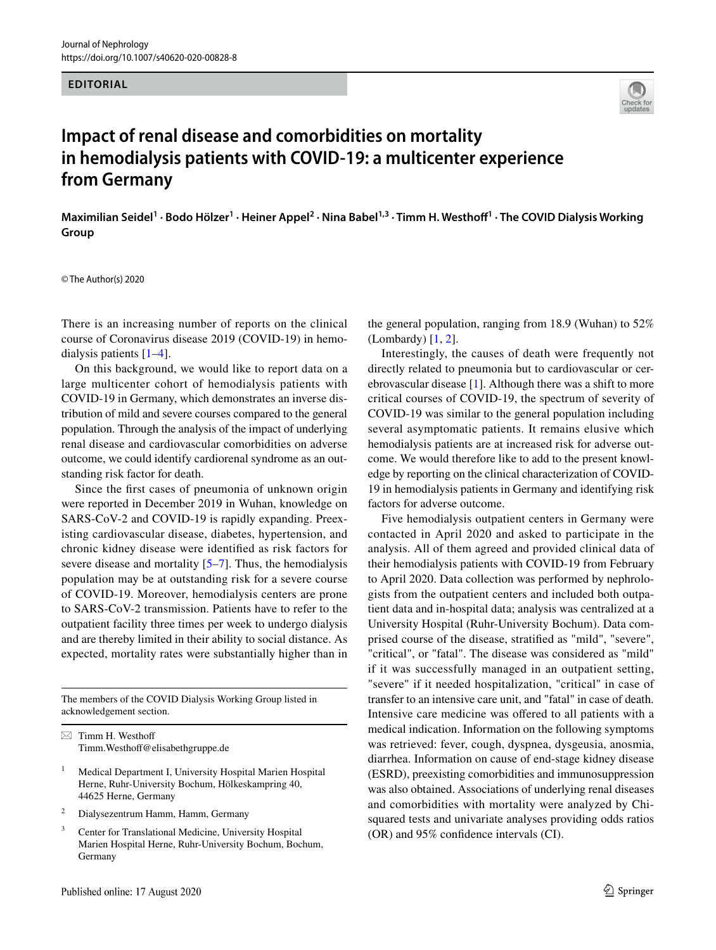## **EDITORIAL**



## **Impact of renal disease and comorbidities on mortality in hemodialysis patients with COVID‑19: a multicenter experience from Germany**

Maximilian Seidel<sup>1</sup> · Bodo Hölzer<sup>1</sup> · Heiner Appel<sup>2</sup> · Nina Babel<sup>1,3</sup> · Timm H. Westhoff<sup>1</sup> · The COVID Dialysis Working **Group**

© The Author(s) 2020

There is an increasing number of reports on the clinical course of Coronavirus disease 2019 (COVID-19) in hemodialysis patients [\[1](#page-2-0)[–4\]](#page-2-1).

On this background, we would like to report data on a large multicenter cohort of hemodialysis patients with COVID-19 in Germany, which demonstrates an inverse distribution of mild and severe courses compared to the general population. Through the analysis of the impact of underlying renal disease and cardiovascular comorbidities on adverse outcome, we could identify cardiorenal syndrome as an outstanding risk factor for death.

Since the frst cases of pneumonia of unknown origin were reported in December 2019 in Wuhan, knowledge on SARS-CoV-2 and COVID-19 is rapidly expanding. Preexisting cardiovascular disease, diabetes, hypertension, and chronic kidney disease were identifed as risk factors for severe disease and mortality  $[5-7]$  $[5-7]$ . Thus, the hemodialysis population may be at outstanding risk for a severe course of COVID-19. Moreover, hemodialysis centers are prone to SARS-CoV-2 transmission. Patients have to refer to the outpatient facility three times per week to undergo dialysis and are thereby limited in their ability to social distance. As expected, mortality rates were substantially higher than in

The members of the COVID Dialysis Working Group listed in acknowledgement section.

 $\boxtimes$  Timm H. Westhoff Timm.Westhof@elisabethgruppe.de

- <sup>1</sup> Medical Department I, University Hospital Marien Hospital Herne, Ruhr-University Bochum, Hölkeskampring 40, 44625 Herne, Germany
- <sup>2</sup> Dialysezentrum Hamm, Hamm, Germany
- <sup>3</sup> Center for Translational Medicine, University Hospital Marien Hospital Herne, Ruhr-University Bochum, Bochum, Germany

the general population, ranging from 18.9 (Wuhan) to 52% (Lombardy) [[1,](#page-2-0) [2\]](#page-2-4).

Interestingly, the causes of death were frequently not directly related to pneumonia but to cardiovascular or cerebrovascular disease [[1\]](#page-2-0). Although there was a shift to more critical courses of COVID-19, the spectrum of severity of COVID-19 was similar to the general population including several asymptomatic patients. It remains elusive which hemodialysis patients are at increased risk for adverse outcome. We would therefore like to add to the present knowledge by reporting on the clinical characterization of COVID-19 in hemodialysis patients in Germany and identifying risk factors for adverse outcome.

Five hemodialysis outpatient centers in Germany were contacted in April 2020 and asked to participate in the analysis. All of them agreed and provided clinical data of their hemodialysis patients with COVID-19 from February to April 2020. Data collection was performed by nephrologists from the outpatient centers and included both outpatient data and in-hospital data; analysis was centralized at a University Hospital (Ruhr-University Bochum). Data comprised course of the disease, stratifed as "mild", "severe", "critical", or "fatal". The disease was considered as "mild" if it was successfully managed in an outpatient setting, "severe" if it needed hospitalization, "critical" in case of transfer to an intensive care unit, and "fatal" in case of death. Intensive care medicine was ofered to all patients with a medical indication. Information on the following symptoms was retrieved: fever, cough, dyspnea, dysgeusia, anosmia, diarrhea. Information on cause of end-stage kidney disease (ESRD), preexisting comorbidities and immunosuppression was also obtained. Associations of underlying renal diseases and comorbidities with mortality were analyzed by Chisquared tests and univariate analyses providing odds ratios (OR) and 95% confdence intervals (CI).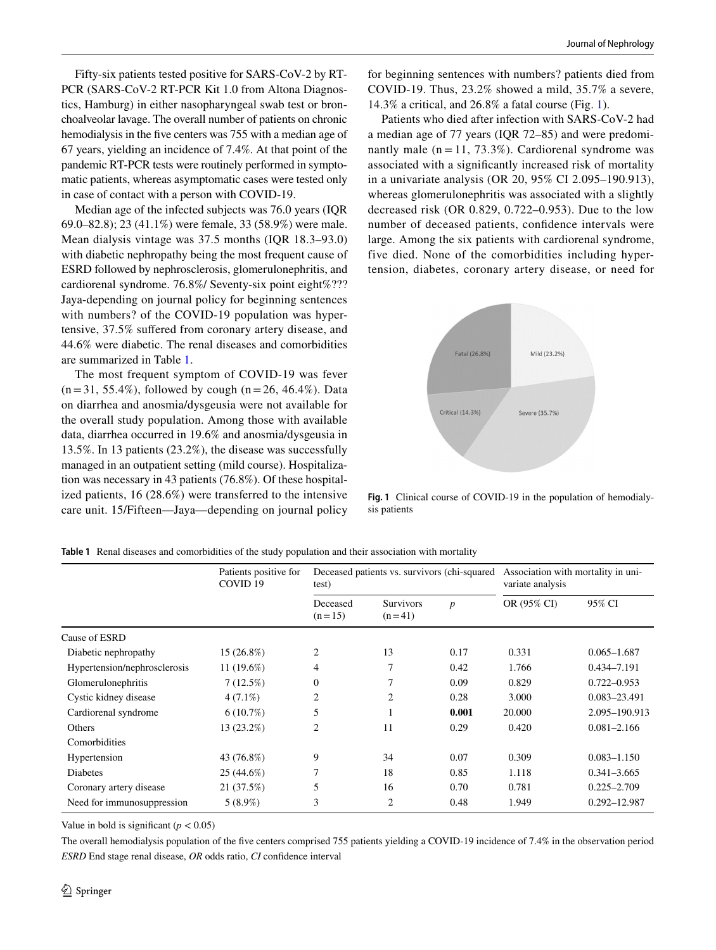Fifty-six patients tested positive for SARS-CoV-2 by RT-PCR (SARS-CoV-2 RT-PCR Kit 1.0 from Altona Diagnostics, Hamburg) in either nasopharyngeal swab test or bronchoalveolar lavage. The overall number of patients on chronic hemodialysis in the fve centers was 755 with a median age of 67 years, yielding an incidence of 7.4%. At that point of the pandemic RT-PCR tests were routinely performed in symptomatic patients, whereas asymptomatic cases were tested only in case of contact with a person with COVID-19.

Median age of the infected subjects was 76.0 years (IQR 69.0–82.8); 23 (41.1%) were female, 33 (58.9%) were male. Mean dialysis vintage was 37.5 months (IQR 18.3–93.0) with diabetic nephropathy being the most frequent cause of ESRD followed by nephrosclerosis, glomerulonephritis, and cardiorenal syndrome. 76.8%/ Seventy-six point eight%??? Jaya-depending on journal policy for beginning sentences with numbers? of the COVID-19 population was hypertensive, 37.5% sufered from coronary artery disease, and 44.6% were diabetic. The renal diseases and comorbidities are summarized in Table [1](#page-1-0).

The most frequent symptom of COVID-19 was fever  $(n=31, 55.4\%)$ , followed by cough  $(n=26, 46.4\%)$ . Data on diarrhea and anosmia/dysgeusia were not available for the overall study population. Among those with available data, diarrhea occurred in 19.6% and anosmia/dysgeusia in 13.5%. In 13 patients (23.2%), the disease was successfully managed in an outpatient setting (mild course). Hospitalization was necessary in 43 patients (76.8%). Of these hospitalized patients, 16 (28.6%) were transferred to the intensive care unit. 15/Fifteen—Jaya—depending on journal policy for beginning sentences with numbers? patients died from COVID-19. Thus, 23.2% showed a mild, 35.7% a severe, 14.3% a critical, and 26.8% a fatal course (Fig. [1\)](#page-1-1).

Patients who died after infection with SARS-CoV-2 had a median age of 77 years (IQR 72–85) and were predominantly male  $(n = 11, 73.3\%)$ . Cardiorenal syndrome was associated with a signifcantly increased risk of mortality in a univariate analysis (OR 20, 95% CI 2.095–190.913), whereas glomerulonephritis was associated with a slightly decreased risk (OR 0.829, 0.722–0.953). Due to the low number of deceased patients, confdence intervals were large. Among the six patients with cardiorenal syndrome, five died. None of the comorbidities including hypertension, diabetes, coronary artery disease, or need for



<span id="page-1-1"></span>**Fig. 1** Clinical course of COVID-19 in the population of hemodialysis patients

|                              | Patients positive for<br>COVID <sub>19</sub> | Deceased patients vs. survivors (chi-squared)<br>test) |                              |                  | Association with mortality in uni-<br>variate analysis |                  |
|------------------------------|----------------------------------------------|--------------------------------------------------------|------------------------------|------------------|--------------------------------------------------------|------------------|
|                              |                                              | Deceased<br>$(n=15)$                                   | <b>Survivors</b><br>$(n=41)$ | $\boldsymbol{p}$ | OR (95% CI)                                            | 95% CI           |
| Cause of ESRD                |                                              |                                                        |                              |                  |                                                        |                  |
| Diabetic nephropathy         | 15 (26.8%)                                   | $\overline{2}$                                         | 13                           | 0.17             | 0.331                                                  | $0.065 - 1.687$  |
| Hypertension/nephrosclerosis | 11 (19.6%)                                   | 4                                                      | 7                            | 0.42             | 1.766                                                  | 0.434-7.191      |
| Glomerulonephritis           | 7(12.5%)                                     | $\boldsymbol{0}$                                       | 7                            | 0.09             | 0.829                                                  | $0.722 - 0.953$  |
| Cystic kidney disease        | $4(7.1\%)$                                   | 2                                                      | 2                            | 0.28             | 3.000                                                  | 0.083-23.491     |
| Cardiorenal syndrome         | $6(10.7\%)$                                  | 5                                                      |                              | 0.001            | 20.000                                                 | 2.095-190.913    |
| Others                       | 13 (23.2%)                                   | $\overline{c}$                                         | 11                           | 0.29             | 0.420                                                  | $0.081 - 2.166$  |
| Comorbidities                |                                              |                                                        |                              |                  |                                                        |                  |
| Hypertension                 | 43 (76.8%)                                   | 9                                                      | 34                           | 0.07             | 0.309                                                  | $0.083 - 1.150$  |
| <b>Diabetes</b>              | 25 (44.6%)                                   | 7                                                      | 18                           | 0.85             | 1.118                                                  | $0.341 - 3.665$  |
| Coronary artery disease      | 21 (37.5%)                                   | 5                                                      | 16                           | 0.70             | 0.781                                                  | $0.225 - 2.709$  |
| Need for immunosuppression   | $5(8.9\%)$                                   | 3                                                      | $\overline{2}$               | 0.48             | 1.949                                                  | $0.292 - 12.987$ |

<span id="page-1-0"></span>**Table 1** Renal diseases and comorbidities of the study population and their association with mortality

Value in bold is significant  $(p < 0.05)$ 

The overall hemodialysis population of the fve centers comprised 755 patients yielding a COVID-19 incidence of 7.4% in the observation period *ESRD* End stage renal disease, *OR* odds ratio, *CI* confdence interval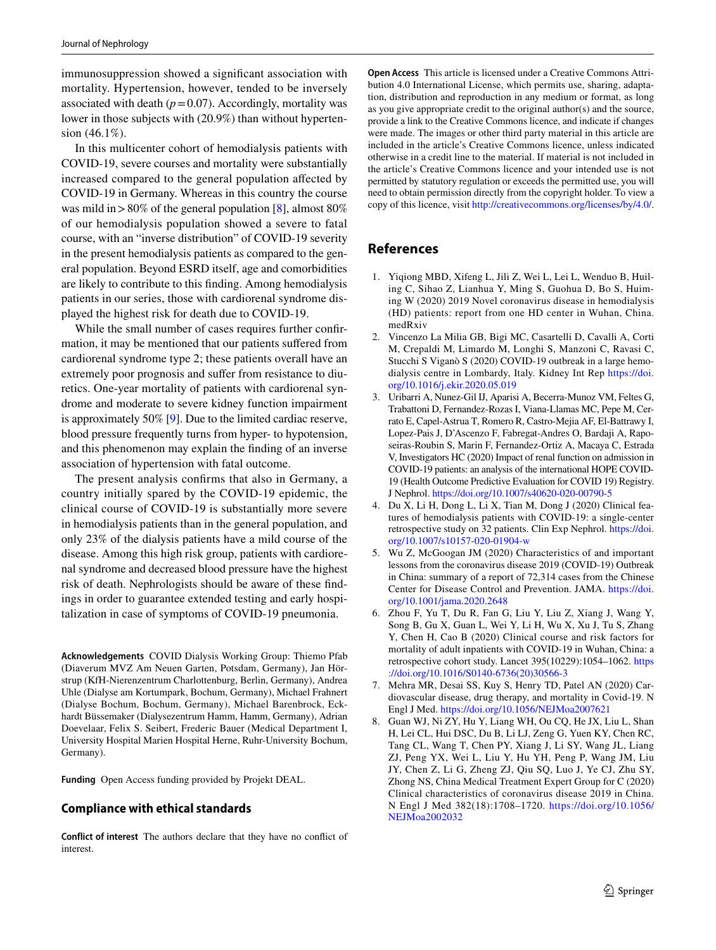immunosuppression showed a signifcant association with mortality. Hypertension, however, tended to be inversely associated with death  $(p=0.07)$ . Accordingly, mortality was lower in those subjects with (20.9%) than without hypertension (46.1%).

In this multicenter cohort of hemodialysis patients with COVID-19, severe courses and mortality were substantially increased compared to the general population afected by COVID-19 in Germany. Whereas in this country the course was mild in > 80% of the general population [\[8](#page-2-5)], almost  $80\%$ of our hemodialysis population showed a severe to fatal course, with an "inverse distribution" of COVID-19 severity in the present hemodialysis patients as compared to the general population. Beyond ESRD itself, age and comorbidities are likely to contribute to this fnding. Among hemodialysis patients in our series, those with cardiorenal syndrome displayed the highest risk for death due to COVID-19.

While the small number of cases requires further confrmation, it may be mentioned that our patients sufered from cardiorenal syndrome type 2; these patients overall have an extremely poor prognosis and sufer from resistance to diuretics. One-year mortality of patients with cardiorenal syndrome and moderate to severe kidney function impairment is approximately 50% [\[9](#page-3-0)]. Due to the limited cardiac reserve, blood pressure frequently turns from hyper- to hypotension, and this phenomenon may explain the fnding of an inverse association of hypertension with fatal outcome.

The present analysis confrms that also in Germany, a country initially spared by the COVID-19 epidemic, the clinical course of COVID-19 is substantially more severe in hemodialysis patients than in the general population, and only 23% of the dialysis patients have a mild course of the disease. Among this high risk group, patients with cardiorenal syndrome and decreased blood pressure have the highest risk of death. Nephrologists should be aware of these fndings in order to guarantee extended testing and early hospitalization in case of symptoms of COVID-19 pneumonia.

**Acknowledgements** COVID Dialysis Working Group: Thiemo Pfab (Diaverum MVZ Am Neuen Garten, Potsdam, Germany), Jan Hörstrup (KfH-Nierenzentrum Charlottenburg, Berlin, Germany), Andrea Uhle (Dialyse am Kortumpark, Bochum, Germany), Michael Frahnert (Dialyse Bochum, Bochum, Germany), Michael Barenbrock, Eckhardt Büssemaker (Dialysezentrum Hamm, Hamm, Germany), Adrian Doevelaar, Felix S. Seibert, Frederic Bauer (Medical Department I, University Hospital Marien Hospital Herne, Ruhr-University Bochum, Germany).

**Funding** Open Access funding provided by Projekt DEAL.

## **Compliance with ethical standards**

**Conflict of interest** The authors declare that they have no confict of interest.

**Open Access** This article is licensed under a Creative Commons Attribution 4.0 International License, which permits use, sharing, adaptation, distribution and reproduction in any medium or format, as long as you give appropriate credit to the original author(s) and the source, provide a link to the Creative Commons licence, and indicate if changes were made. The images or other third party material in this article are included in the article's Creative Commons licence, unless indicated otherwise in a credit line to the material. If material is not included in the article's Creative Commons licence and your intended use is not permitted by statutory regulation or exceeds the permitted use, you will need to obtain permission directly from the copyright holder. To view a copy of this licence, visit<http://creativecommons.org/licenses/by/4.0/>.

## **References**

- <span id="page-2-0"></span>1. Yiqiong MBD, Xifeng L, Jili Z, Wei L, Lei L, Wenduo B, Huiling C, Sihao Z, Lianhua Y, Ming S, Guohua D, Bo S, Huiming W (2020) 2019 Novel coronavirus disease in hemodialysis (HD) patients: report from one HD center in Wuhan, China. medRxiv
- <span id="page-2-4"></span>2. Vincenzo La Milia GB, Bigi MC, Casartelli D, Cavalli A, Corti M, Crepaldi M, Limardo M, Longhi S, Manzoni C, Ravasi C, Stucchi S Viganò S (2020) COVID-19 outbreak in a large hemodialysis centre in Lombardy, Italy. Kidney Int Rep [https://doi.](https://doi.org/10.1016/j.ekir.2020.05.019) [org/10.1016/j.ekir.2020.05.019](https://doi.org/10.1016/j.ekir.2020.05.019)
- 3. Uribarri A, Nunez-Gil IJ, Aparisi A, Becerra-Munoz VM, Feltes G, Trabattoni D, Fernandez-Rozas I, Viana-Llamas MC, Pepe M, Cerrato E, Capel-Astrua T, Romero R, Castro-Mejia AF, El-Battrawy I, Lopez-Pais J, D'Ascenzo F, Fabregat-Andres O, Bardaji A, Raposeiras-Roubin S, Marin F, Fernandez-Ortiz A, Macaya C, Estrada V, Investigators HC (2020) Impact of renal function on admission in COVID-19 patients: an analysis of the international HOPE COVID-19 (Health Outcome Predictive Evaluation for COVID 19) Registry. J Nephrol. <https://doi.org/10.1007/s40620-020-00790-5>
- <span id="page-2-1"></span>4. Du X, Li H, Dong L, Li X, Tian M, Dong J (2020) Clinical features of hemodialysis patients with COVID-19: a single-center retrospective study on 32 patients. Clin Exp Nephrol. [https://doi.](https://doi.org/10.1007/s10157-020-01904-w) [org/10.1007/s10157-020-01904-w](https://doi.org/10.1007/s10157-020-01904-w)
- <span id="page-2-2"></span>5. Wu Z, McGoogan JM (2020) Characteristics of and important lessons from the coronavirus disease 2019 (COVID-19) Outbreak in China: summary of a report of 72,314 cases from the Chinese Center for Disease Control and Prevention. JAMA. [https://doi.](https://doi.org/10.1001/jama.2020.2648) [org/10.1001/jama.2020.2648](https://doi.org/10.1001/jama.2020.2648)
- 6. Zhou F, Yu T, Du R, Fan G, Liu Y, Liu Z, Xiang J, Wang Y, Song B, Gu X, Guan L, Wei Y, Li H, Wu X, Xu J, Tu S, Zhang Y, Chen H, Cao B (2020) Clinical course and risk factors for mortality of adult inpatients with COVID-19 in Wuhan, China: a retrospective cohort study. Lancet 395(10229):1054–1062. [https](https://doi.org/10.1016/S0140-6736(20)30566-3) [://doi.org/10.1016/S0140-6736\(20\)30566-3](https://doi.org/10.1016/S0140-6736(20)30566-3)
- <span id="page-2-3"></span>7. Mehra MR, Desai SS, Kuy S, Henry TD, Patel AN (2020) Cardiovascular disease, drug therapy, and mortality in Covid-19. N Engl J Med. <https://doi.org/10.1056/NEJMoa2007621>
- <span id="page-2-5"></span>8. Guan WJ, Ni ZY, Hu Y, Liang WH, Ou CQ, He JX, Liu L, Shan H, Lei CL, Hui DSC, Du B, Li LJ, Zeng G, Yuen KY, Chen RC, Tang CL, Wang T, Chen PY, Xiang J, Li SY, Wang JL, Liang ZJ, Peng YX, Wei L, Liu Y, Hu YH, Peng P, Wang JM, Liu JY, Chen Z, Li G, Zheng ZJ, Qiu SQ, Luo J, Ye CJ, Zhu SY, Zhong NS, China Medical Treatment Expert Group for C (2020) Clinical characteristics of coronavirus disease 2019 in China. N Engl J Med 382(18):1708–1720. [https://doi.org/10.1056/](https://doi.org/10.1056/NEJMoa2002032) [NEJMoa2002032](https://doi.org/10.1056/NEJMoa2002032)